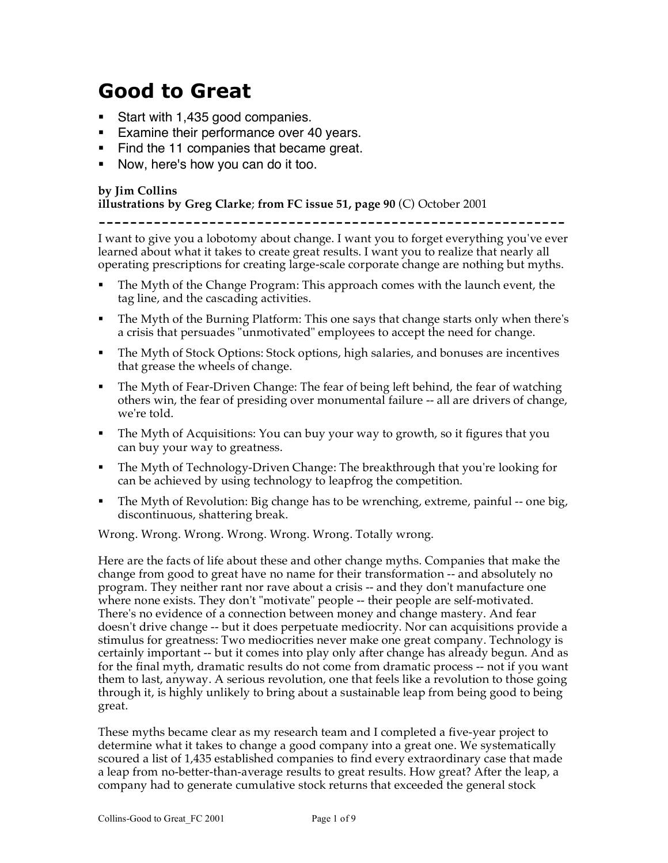# **Good to Great**

- Start with 1,435 good companies.
- **Examine their performance over 40 years.**
- Find the 11 companies that became great.
- Now, here's how you can do it too.

## **by Jim Collins illustrations by Greg Clarke**; **from FC issue 51, page 90** (C) October 2001

-----------------------------------------------------------

I want to give you a lobotomy about change. I want you to forget everything you've ever learned about what it takes to create great results. I want you to realize that nearly all operating prescriptions for creating large-scale corporate change are nothing but myths.

- The Myth of the Change Program: This approach comes with the launch event, the tag line, and the cascading activities.
- The Myth of the Burning Platform: This one says that change starts only when there's a crisis that persuades "unmotivated" employees to accept the need for change.
- The Myth of Stock Options: Stock options, high salaries, and bonuses are incentives that grease the wheels of change.
- The Myth of Fear-Driven Change: The fear of being left behind, the fear of watching others win, the fear of presiding over monumental failure -- all are drivers of change, we're told.
- The Myth of Acquisitions: You can buy your way to growth, so it figures that you can buy your way to greatness.
- The Myth of Technology-Driven Change: The breakthrough that you're looking for can be achieved by using technology to leapfrog the competition.
- The Myth of Revolution: Big change has to be wrenching, extreme, painful -- one big, discontinuous, shattering break.

Wrong. Wrong. Wrong. Wrong. Wrong. Wrong. Totally wrong.

Here are the facts of life about these and other change myths. Companies that make the change from good to great have no name for their transformation -- and absolutely no program. They neither rant nor rave about a crisis -- and they don't manufacture one where none exists. They don't "motivate" people -- their people are self-motivated. There's no evidence of a connection between money and change mastery. And fear doesn't drive change -- but it does perpetuate mediocrity. Nor can acquisitions provide a stimulus for greatness: Two mediocrities never make one great company. Technology is certainly important -- but it comes into play only after change has already begun. And as for the final myth, dramatic results do not come from dramatic process -- not if you want them to last, anyway. A serious revolution, one that feels like a revolution to those going through it, is highly unlikely to bring about a sustainable leap from being good to being great.

These myths became clear as my research team and I completed a five-year project to determine what it takes to change a good company into a great one. We systematically scoured a list of 1,435 established companies to find every extraordinary case that made a leap from no-better-than-average results to great results. How great? After the leap, a company had to generate cumulative stock returns that exceeded the general stock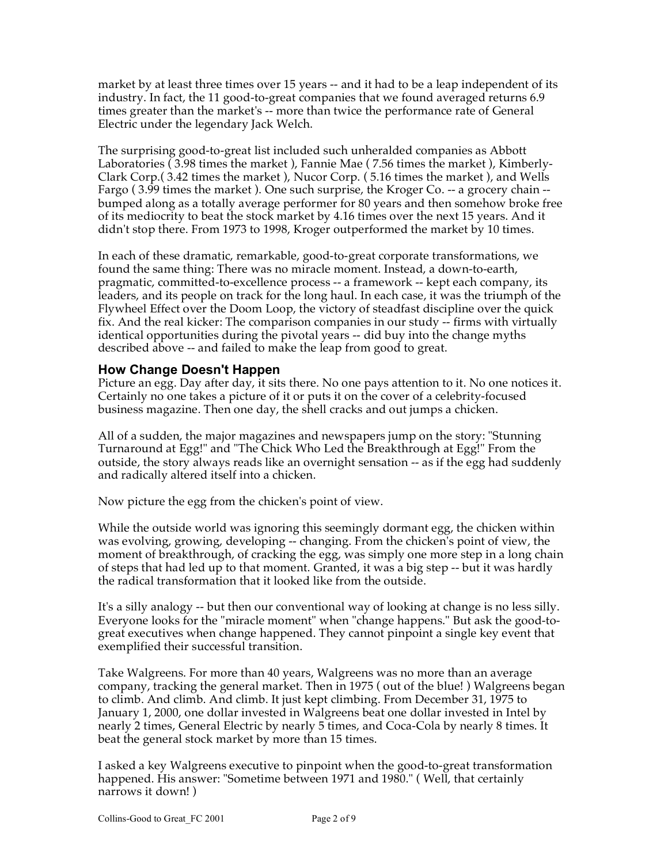market by at least three times over 15 years -- and it had to be a leap independent of its industry. In fact, the 11 good-to-great companies that we found averaged returns 6.9 times greater than the market's -- more than twice the performance rate of General Electric under the legendary Jack Welch.

The surprising good-to-great list included such unheralded companies as Abbott Laboratories ( 3.98 times the market ), Fannie Mae ( 7.56 times the market ), Kimberly-Clark Corp.( 3.42 times the market ), Nucor Corp. ( 5.16 times the market ), and Wells Fargo (3.99 times the market). One such surprise, the Kroger Co. -- a grocery chain -bumped along as a totally average performer for 80 years and then somehow broke free of its mediocrity to beat the stock market by 4.16 times over the next 15 years. And it didn't stop there. From 1973 to 1998, Kroger outperformed the market by 10 times.

In each of these dramatic, remarkable, good-to-great corporate transformations, we found the same thing: There was no miracle moment. Instead, a down-to-earth, pragmatic, committed-to-excellence process -- a framework -- kept each company, its leaders, and its people on track for the long haul. In each case, it was the triumph of the Flywheel Effect over the Doom Loop, the victory of steadfast discipline over the quick fix. And the real kicker: The comparison companies in our study -- firms with virtually identical opportunities during the pivotal years -- did buy into the change myths described above -- and failed to make the leap from good to great.

## **How Change Doesn't Happen**

Picture an egg. Day after day, it sits there. No one pays attention to it. No one notices it. Certainly no one takes a picture of it or puts it on the cover of a celebrity-focused business magazine. Then one day, the shell cracks and out jumps a chicken.

All of a sudden, the major magazines and newspapers jump on the story: "Stunning Turnaround at Egg!" and "The Chick Who Led the Breakthrough at Egg!" From the outside, the story always reads like an overnight sensation -- as if the egg had suddenly and radically altered itself into a chicken.

Now picture the egg from the chicken's point of view.

While the outside world was ignoring this seemingly dormant egg, the chicken within was evolving, growing, developing -- changing. From the chicken's point of view, the moment of breakthrough, of cracking the egg, was simply one more step in a long chain of steps that had led up to that moment. Granted, it was a big step -- but it was hardly the radical transformation that it looked like from the outside.

It's a silly analogy -- but then our conventional way of looking at change is no less silly. Everyone looks for the "miracle moment" when "change happens." But ask the good-togreat executives when change happened. They cannot pinpoint a single key event that exemplified their successful transition.

Take Walgreens. For more than 40 years, Walgreens was no more than an average company, tracking the general market. Then in 1975 ( out of the blue! ) Walgreens began to climb. And climb. And climb. It just kept climbing. From December 31, 1975 to January 1, 2000, one dollar invested in Walgreens beat one dollar invested in Intel by nearly 2 times, General Electric by nearly 5 times, and Coca-Cola by nearly 8 times. It beat the general stock market by more than 15 times.

I asked a key Walgreens executive to pinpoint when the good-to-great transformation happened. His answer: "Sometime between 1971 and 1980." ( Well, that certainly narrows it down! )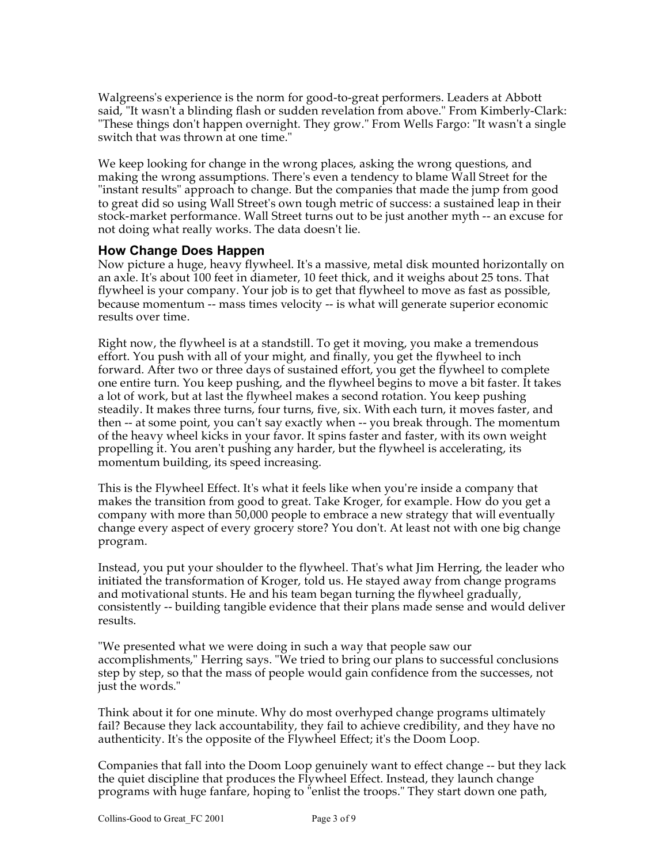Walgreens's experience is the norm for good-to-great performers. Leaders at Abbott said, "It wasn't a blinding flash or sudden revelation from above." From Kimberly-Clark: "These things don't happen overnight. They grow." From Wells Fargo: "It wasn't a single switch that was thrown at one time."

We keep looking for change in the wrong places, asking the wrong questions, and making the wrong assumptions. There's even a tendency to blame Wall Street for the "instant results" approach to change. But the companies that made the jump from good to great did so using Wall Street's own tough metric of success: a sustained leap in their stock-market performance. Wall Street turns out to be just another myth -- an excuse for not doing what really works. The data doesn't lie.

#### **How Change Does Happen**

Now picture a huge, heavy flywheel. It's a massive, metal disk mounted horizontally on an axle. It's about 100 feet in diameter, 10 feet thick, and it weighs about 25 tons. That flywheel is your company. Your job is to get that flywheel to move as fast as possible, because momentum -- mass times velocity -- is what will generate superior economic results over time.

Right now, the flywheel is at a standstill. To get it moving, you make a tremendous effort. You push with all of your might, and finally, you get the flywheel to inch forward. After two or three days of sustained effort, you get the flywheel to complete one entire turn. You keep pushing, and the flywheel begins to move a bit faster. It takes a lot of work, but at last the flywheel makes a second rotation. You keep pushing steadily. It makes three turns, four turns, five, six. With each turn, it moves faster, and then -- at some point, you can't say exactly when -- you break through. The momentum of the heavy wheel kicks in your favor. It spins faster and faster, with its own weight propelling it. You aren't pushing any harder, but the flywheel is accelerating, its momentum building, its speed increasing.

This is the Flywheel Effect. It's what it feels like when you're inside a company that makes the transition from good to great. Take Kroger, for example. How do you get a company with more than 50,000 people to embrace a new strategy that will eventually change every aspect of every grocery store? You don't. At least not with one big change program.

Instead, you put your shoulder to the flywheel. That's what Jim Herring, the leader who initiated the transformation of Kroger, told us. He stayed away from change programs and motivational stunts. He and his team began turning the flywheel gradually, consistently -- building tangible evidence that their plans made sense and would deliver results.

"We presented what we were doing in such a way that people saw our accomplishments," Herring says. "We tried to bring our plans to successful conclusions step by step, so that the mass of people would gain confidence from the successes, not just the words."

Think about it for one minute. Why do most overhyped change programs ultimately fail? Because they lack accountability, they fail to achieve credibility, and they have no authenticity. It's the opposite of the Flywheel Effect; it's the Doom Loop.

Companies that fall into the Doom Loop genuinely want to effect change -- but they lack the quiet discipline that produces the Flywheel Effect. Instead, they launch change programs with huge fanfare, hoping to "enlist the troops." They start down one path,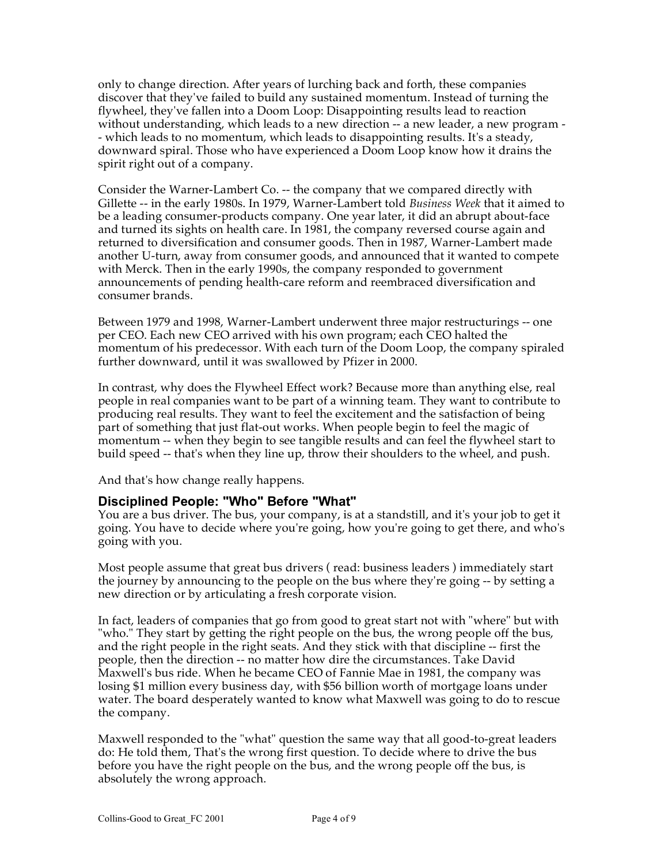only to change direction. After years of lurching back and forth, these companies discover that they've failed to build any sustained momentum. Instead of turning the flywheel, they've fallen into a Doom Loop: Disappointing results lead to reaction without understanding, which leads to a new direction -- a new leader, a new program -- which leads to no momentum, which leads to disappointing results. It's a steady, downward spiral. Those who have experienced a Doom Loop know how it drains the spirit right out of a company.

Consider the Warner-Lambert Co. -- the company that we compared directly with Gillette -- in the early 1980s. In 1979, Warner-Lambert told *Business Week* that it aimed to be a leading consumer-products company. One year later, it did an abrupt about-face and turned its sights on health care. In 1981, the company reversed course again and returned to diversification and consumer goods. Then in 1987, Warner-Lambert made another U-turn, away from consumer goods, and announced that it wanted to compete with Merck. Then in the early 1990s, the company responded to government announcements of pending health-care reform and reembraced diversification and consumer brands.

Between 1979 and 1998, Warner-Lambert underwent three major restructurings -- one per CEO. Each new CEO arrived with his own program; each CEO halted the momentum of his predecessor. With each turn of the Doom Loop, the company spiraled further downward, until it was swallowed by Pfizer in 2000.

In contrast, why does the Flywheel Effect work? Because more than anything else, real people in real companies want to be part of a winning team. They want to contribute to producing real results. They want to feel the excitement and the satisfaction of being part of something that just flat-out works. When people begin to feel the magic of momentum -- when they begin to see tangible results and can feel the flywheel start to build speed -- that's when they line up, throw their shoulders to the wheel, and push.

And that's how change really happens.

## **Disciplined People: "Who" Before "What"**

You are a bus driver. The bus, your company, is at a standstill, and it's your job to get it going. You have to decide where you're going, how you're going to get there, and who's going with you.

Most people assume that great bus drivers ( read: business leaders ) immediately start the journey by announcing to the people on the bus where they're going -- by setting a new direction or by articulating a fresh corporate vision.

In fact, leaders of companies that go from good to great start not with "where" but with "who." They start by getting the right people on the bus, the wrong people off the bus, and the right people in the right seats. And they stick with that discipline -- first the people, then the direction -- no matter how dire the circumstances. Take David Maxwell's bus ride. When he became CEO of Fannie Mae in 1981, the company was losing \$1 million every business day, with \$56 billion worth of mortgage loans under water. The board desperately wanted to know what Maxwell was going to do to rescue the company.

Maxwell responded to the "what" question the same way that all good-to-great leaders do: He told them, That's the wrong first question. To decide where to drive the bus before you have the right people on the bus, and the wrong people off the bus, is absolutely the wrong approach.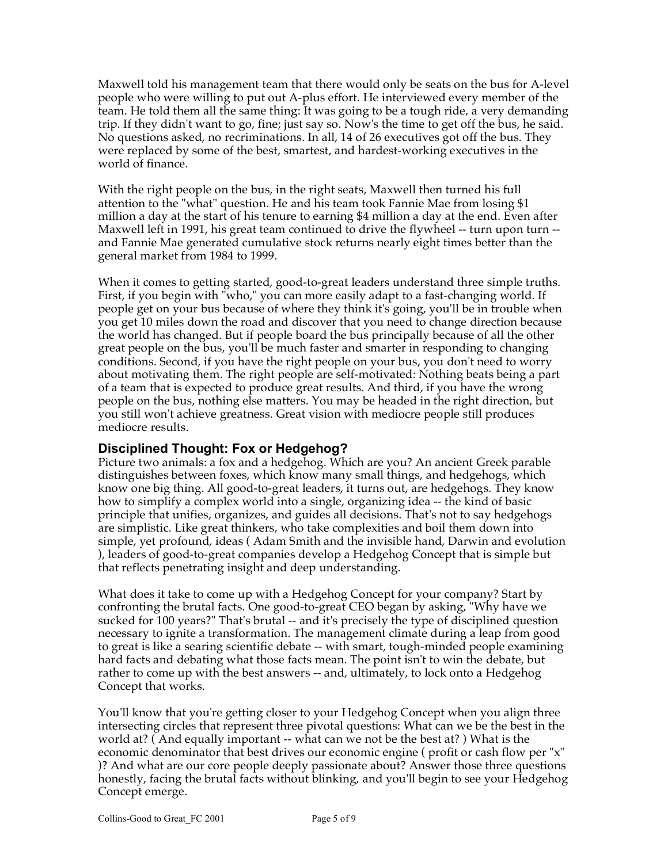Maxwell told his management team that there would only be seats on the bus for A-level people who were willing to put out A-plus effort. He interviewed every member of the team. He told them all the same thing: It was going to be a tough ride, a very demanding trip. If they didn't want to go, fine; just say so. Now's the time to get off the bus, he said. No questions asked, no recriminations. In all, 14 of 26 executives got off the bus. They were replaced by some of the best, smartest, and hardest-working executives in the world of finance.

With the right people on the bus, in the right seats, Maxwell then turned his full attention to the "what" question. He and his team took Fannie Mae from losing \$1 million a day at the start of his tenure to earning \$4 million a day at the end. Even after Maxwell left in 1991, his great team continued to drive the flywheel -- turn upon turn - and Fannie Mae generated cumulative stock returns nearly eight times better than the general market from 1984 to 1999.

When it comes to getting started, good-to-great leaders understand three simple truths. First, if you begin with "who," you can more easily adapt to a fast-changing world. If people get on your bus because of where they think it's going, you'll be in trouble when you get 10 miles down the road and discover that you need to change direction because the world has changed. But if people board the bus principally because of all the other great people on the bus, you'll be much faster and smarter in responding to changing conditions. Second, if you have the right people on your bus, you don't need to worry about motivating them. The right people are self-motivated: Nothing beats being a part of a team that is expected to produce great results. And third, if you have the wrong people on the bus, nothing else matters. You may be headed in the right direction, but you still won't achieve greatness. Great vision with mediocre people still produces mediocre results.

# **Disciplined Thought: Fox or Hedgehog?**

Picture two animals: a fox and a hedgehog. Which are you? An ancient Greek parable distinguishes between foxes, which know many small things, and hedgehogs, which know one big thing. All good-to-great leaders, it turns out, are hedgehogs. They know how to simplify a complex world into a single, organizing idea -- the kind of basic principle that unifies, organizes, and guides all decisions. That's not to say hedgehogs are simplistic. Like great thinkers, who take complexities and boil them down into simple, yet profound, ideas ( Adam Smith and the invisible hand, Darwin and evolution ), leaders of good-to-great companies develop a Hedgehog Concept that is simple but that reflects penetrating insight and deep understanding.

What does it take to come up with a Hedgehog Concept for your company? Start by confronting the brutal facts. One good-to-great CEO began by asking, "Why have we sucked for 100 years?" That's brutal -- and it's precisely the type of disciplined question necessary to ignite a transformation. The management climate during a leap from good to great is like a searing scientific debate -- with smart, tough-minded people examining hard facts and debating what those facts mean. The point isn't to win the debate, but rather to come up with the best answers -- and, ultimately, to lock onto a Hedgehog Concept that works.

You'll know that you're getting closer to your Hedgehog Concept when you align three intersecting circles that represent three pivotal questions: What can we be the best in the world at? ( And equally important -- what can we not be the best at? ) What is the economic denominator that best drives our economic engine ( profit or cash flow per "x" )? And what are our core people deeply passionate about? Answer those three questions honestly, facing the brutal facts without blinking, and you'll begin to see your Hedgehog Concept emerge.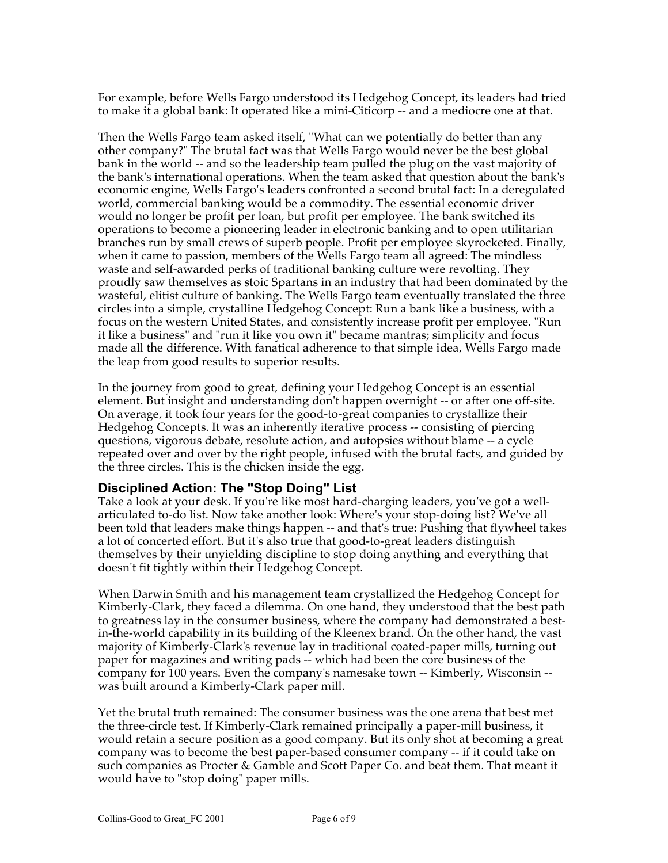For example, before Wells Fargo understood its Hedgehog Concept, its leaders had tried to make it a global bank: It operated like a mini-Citicorp -- and a mediocre one at that.

Then the Wells Fargo team asked itself, "What can we potentially do better than any other company?" The brutal fact was that Wells Fargo would never be the best global bank in the world -- and so the leadership team pulled the plug on the vast majority of the bank's international operations. When the team asked that question about the bank's economic engine, Wells Fargo's leaders confronted a second brutal fact: In a deregulated world, commercial banking would be a commodity. The essential economic driver would no longer be profit per loan, but profit per employee. The bank switched its operations to become a pioneering leader in electronic banking and to open utilitarian branches run by small crews of superb people. Profit per employee skyrocketed. Finally, when it came to passion, members of the Wells Fargo team all agreed: The mindless waste and self-awarded perks of traditional banking culture were revolting. They proudly saw themselves as stoic Spartans in an industry that had been dominated by the wasteful, elitist culture of banking. The Wells Fargo team eventually translated the three circles into a simple, crystalline Hedgehog Concept: Run a bank like a business, with a focus on the western United States, and consistently increase profit per employee. "Run it like a business" and "run it like you own it" became mantras; simplicity and focus made all the difference. With fanatical adherence to that simple idea, Wells Fargo made the leap from good results to superior results.

In the journey from good to great, defining your Hedgehog Concept is an essential element. But insight and understanding don't happen overnight -- or after one off-site. On average, it took four years for the good-to-great companies to crystallize their Hedgehog Concepts. It was an inherently iterative process -- consisting of piercing questions, vigorous debate, resolute action, and autopsies without blame -- a cycle repeated over and over by the right people, infused with the brutal facts, and guided by the three circles. This is the chicken inside the egg.

## **Disciplined Action: The "Stop Doing" List**

Take a look at your desk. If you're like most hard-charging leaders, you've got a wellarticulated to-do list. Now take another look: Where's your stop-doing list? We've all been told that leaders make things happen -- and that's true: Pushing that flywheel takes a lot of concerted effort. But it's also true that good-to-great leaders distinguish themselves by their unyielding discipline to stop doing anything and everything that doesn't fit tightly within their Hedgehog Concept.

When Darwin Smith and his management team crystallized the Hedgehog Concept for Kimberly-Clark, they faced a dilemma. On one hand, they understood that the best path to greatness lay in the consumer business, where the company had demonstrated a bestin-the-world capability in its building of the Kleenex brand. On the other hand, the vast majority of Kimberly-Clark's revenue lay in traditional coated-paper mills, turning out paper for magazines and writing pads -- which had been the core business of the company for 100 years. Even the company's namesake town -- Kimberly, Wisconsin - was built around a Kimberly-Clark paper mill.

Yet the brutal truth remained: The consumer business was the one arena that best met the three-circle test. If Kimberly-Clark remained principally a paper-mill business, it would retain a secure position as a good company. But its only shot at becoming a great company was to become the best paper-based consumer company -- if it could take on such companies as Procter & Gamble and Scott Paper Co. and beat them. That meant it would have to "stop doing" paper mills.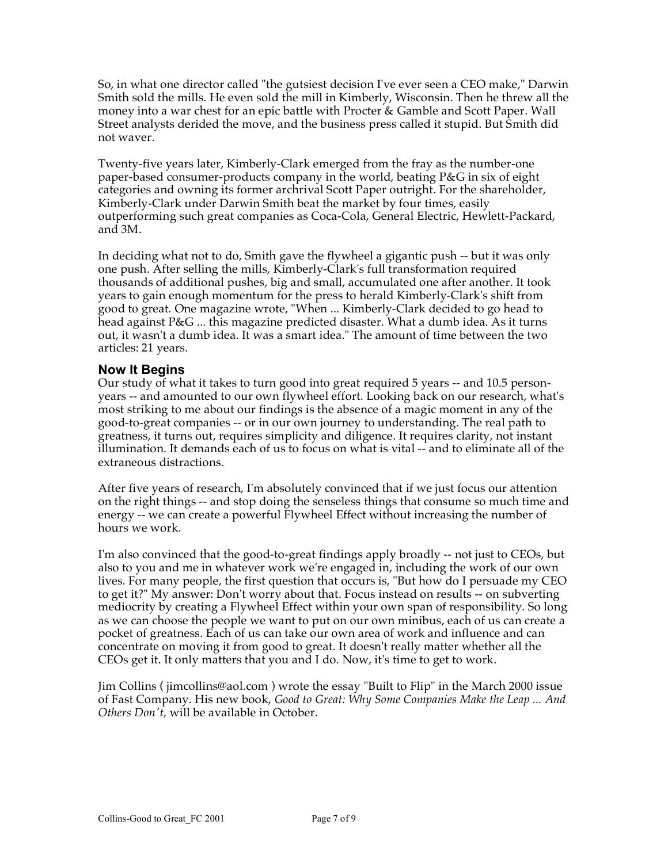So, in what one director called "the gutsiest decision I've ever seen a CEO make," Darwin Smith sold the mills. He even sold the mill in Kimberly, Wisconsin. Then he threw all the money into a war chest for an epic battle with Procter & Gamble and Scott Paper. Wall Street analysts derided the move, and the business press called it stupid. But Smith did not waver.

Twenty-five years later, Kimberly-Clark emerged from the fray as the number-one paper-based consumer-products company in the world, beating P&G in six of eight categories and owning its former archrival Scott Paper outright. For the shareholder, Kimberly-Clark under Darwin Smith beat the market by four times, easily outperforming such great companies as Coca-Cola, General Electric, Hewlett-Packard, and 3M.

In deciding what not to do, Smith gave the flywheel a gigantic push -- but it was only one push. After selling the mills, Kimberly-Clark's full transformation required thousands of additional pushes, big and small, accumulated one after another. It took years to gain enough momentum for the press to herald Kimberly-Clark's shift from good to great. One magazine wrote, "When ... Kimberly-Clark decided to go head to head against P&G ... this magazine predicted disaster. What a dumb idea. As it turns out, it wasn't a dumb idea. It was a smart idea." The amount of time between the two articles: 21 years.

# **Now It Begins**

Our study of what it takes to turn good into great required 5 years -- and 10.5 personyears -- and amounted to our own flywheel effort. Looking back on our research, what's most striking to me about our findings is the absence of a magic moment in any of the good-to-great companies -- or in our own journey to understanding. The real path to greatness, it turns out, requires simplicity and diligence. It requires clarity, not instant illumination. It demands each of us to focus on what is vital -- and to eliminate all of the extraneous distractions.

After five years of research, I'm absolutely convinced that if we just focus our attention on the right things -- and stop doing the senseless things that consume so much time and energy -- we can create a powerful Flywheel Effect without increasing the number of hours we work.

I'm also convinced that the good-to-great findings apply broadly -- not just to CEOs, but also to you and me in whatever work we're engaged in, including the work of our own lives. For many people, the first question that occurs is, "But how do I persuade my CEO to get it?" My answer: Don't worry about that. Focus instead on results -- on subverting mediocrity by creating a Flywheel Effect within your own span of responsibility. So long as we can choose the people we want to put on our own minibus, each of us can create a pocket of greatness. Each of us can take our own area of work and influence and can concentrate on moving it from good to great. It doesn't really matter whether all the CEOs get it. It only matters that you and I do. Now, it's time to get to work.

Jim Collins ( jimcollins@aol.com ) wrote the essay "Built to Flip" in the March 2000 issue of Fast Company. His new book, *Good to Great: Why Some Companies Make the Leap ... And Others Don't,* will be available in October.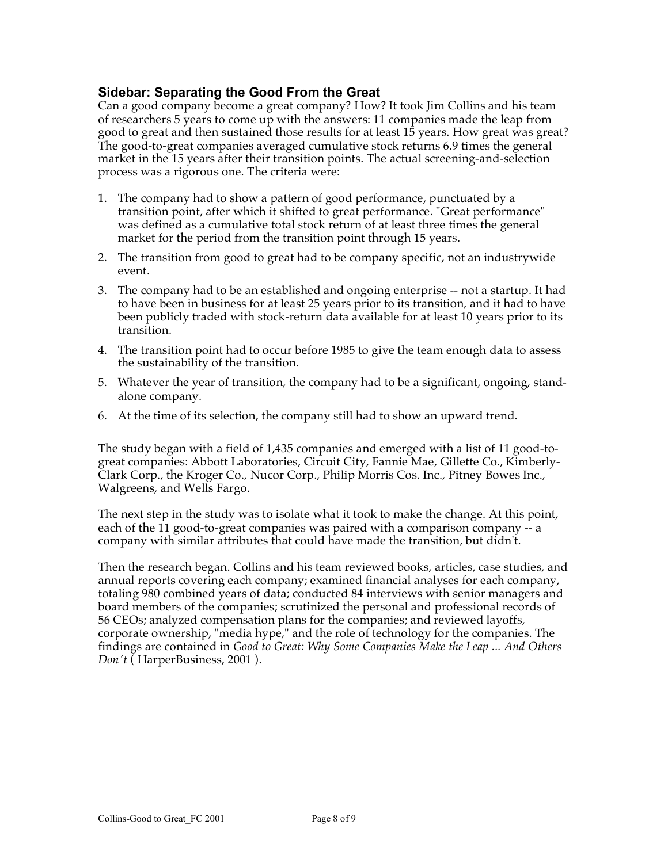# **Sidebar: Separating the Good From the Great**

Can a good company become a great company? How? It took Jim Collins and his team of researchers 5 years to come up with the answers: 11 companies made the leap from good to great and then sustained those results for at least 15 years. How great was great? The good-to-great companies averaged cumulative stock returns 6.9 times the general market in the 15 years after their transition points. The actual screening-and-selection process was a rigorous one. The criteria were:

- 1. The company had to show a pattern of good performance, punctuated by a transition point, after which it shifted to great performance. "Great performance" was defined as a cumulative total stock return of at least three times the general market for the period from the transition point through 15 years.
- 2. The transition from good to great had to be company specific, not an industrywide event.
- 3. The company had to be an established and ongoing enterprise -- not a startup. It had to have been in business for at least 25 years prior to its transition, and it had to have been publicly traded with stock-return data available for at least 10 years prior to its transition.
- 4. The transition point had to occur before 1985 to give the team enough data to assess the sustainability of the transition.
- 5. Whatever the year of transition, the company had to be a significant, ongoing, standalone company.
- 6. At the time of its selection, the company still had to show an upward trend.

The study began with a field of 1,435 companies and emerged with a list of 11 good-togreat companies: Abbott Laboratories, Circuit City, Fannie Mae, Gillette Co., Kimberly-Clark Corp., the Kroger Co., Nucor Corp., Philip Morris Cos. Inc., Pitney Bowes Inc., Walgreens, and Wells Fargo.

The next step in the study was to isolate what it took to make the change. At this point, each of the 11 good-to-great companies was paired with a comparison company -- a company with similar attributes that could have made the transition, but didn't.

Then the research began. Collins and his team reviewed books, articles, case studies, and annual reports covering each company; examined financial analyses for each company, totaling 980 combined years of data; conducted 84 interviews with senior managers and board members of the companies; scrutinized the personal and professional records of 56 CEOs; analyzed compensation plans for the companies; and reviewed layoffs, corporate ownership, "media hype," and the role of technology for the companies. The findings are contained in *Good to Great: Why Some Companies Make the Leap ... And Others Don't* ( HarperBusiness, 2001 ).